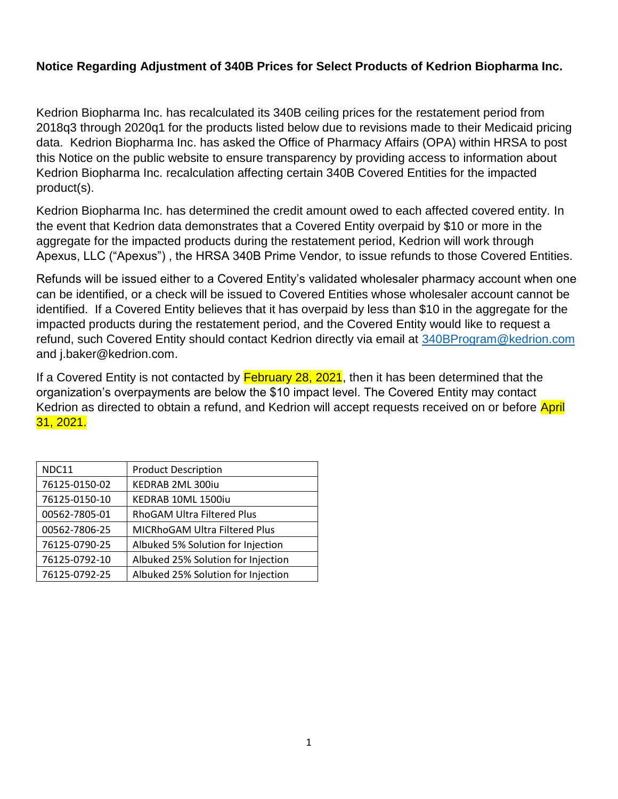## **Notice Regarding Adjustment of 340B Prices for Select Products of Kedrion Biopharma Inc.**

Kedrion Biopharma Inc. has recalculated its 340B ceiling prices for the restatement period from 2018q3 through 2020q1 for the products listed below due to revisions made to their Medicaid pricing data. Kedrion Biopharma Inc. has asked the Office of Pharmacy Affairs (OPA) within HRSA to post this Notice on the public website to ensure transparency by providing access to information about Kedrion Biopharma Inc. recalculation affecting certain 340B Covered Entities for the impacted product(s).

Kedrion Biopharma Inc. has determined the credit amount owed to each affected covered entity. In the event that Kedrion data demonstrates that a Covered Entity overpaid by \$10 or more in the aggregate for the impacted products during the restatement period, Kedrion will work through Apexus, LLC ("Apexus") , the HRSA 340B Prime Vendor, to issue refunds to those Covered Entities.

Refunds will be issued either to a Covered Entity's validated wholesaler pharmacy account when one can be identified, or a check will be issued to Covered Entities whose wholesaler account cannot be identified. If a Covered Entity believes that it has overpaid by less than \$10 in the aggregate for the impacted products during the restatement period, and the Covered Entity would like to request a refund, such Covered Entity should contact Kedrion directly via email at [340BProgram@kedrion.com](mailto:340BProgram@kedrion.com) and j.baker@kedrion.com.

If a Covered Entity is not contacted by February 28, 2021, then it has been determined that the organization's overpayments are below the \$10 impact level. The Covered Entity may contact Kedrion as directed to obtain a refund, and Kedrion will accept requests received on or before April 31, 2021.

| NDC11         | <b>Product Description</b>         |
|---------------|------------------------------------|
|               |                                    |
| 76125-0150-02 | KEDRAB 2ML 300iu                   |
| 76125-0150-10 | KEDRAB 10ML 1500iu                 |
| 00562-7805-01 | RhoGAM Ultra Filtered Plus         |
| 00562-7806-25 | MICRhoGAM Ultra Filtered Plus      |
| 76125-0790-25 | Albuked 5% Solution for Injection  |
| 76125-0792-10 | Albuked 25% Solution for Injection |
| 76125-0792-25 | Albuked 25% Solution for Injection |